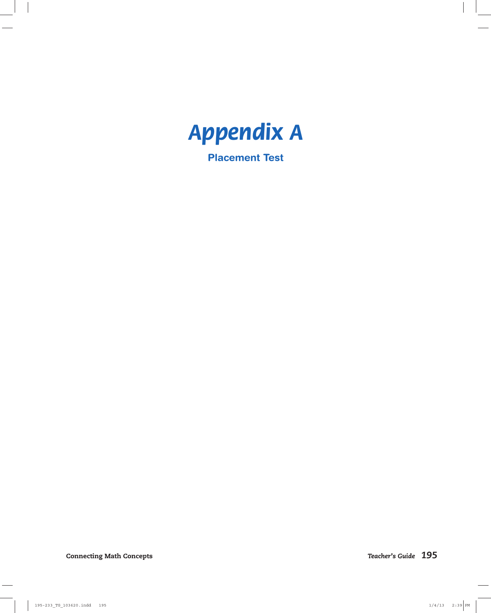

**Placement Test**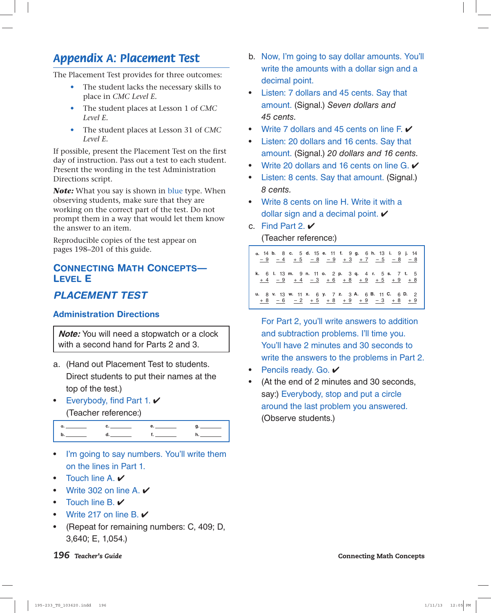# *Appendix A: Placement Test*

The Placement Test provides for three outcomes:

- The student lacks the necessary skills to place in *CMC Level E.*
- The student places at Lesson 1 of *CMC Level E.*
- The student places at Lesson 31 of *CMC Level E.*

If possible, present the Placement Test on the first day of instruction. Pass out a test to each student. Present the wording in the test Administration Directions script.

*Note:* What you say is shown in blue type. When observing students, make sure that they are working on the correct part of the test. Do not prompt them in a way that would let them know the answer to an item.

Reproducible copies of the test appear on pages 198–201 of this guide.

## **CONNECTING MATH CONCEPTS— LEVEL E**

## *PLACEMENT TEST*

### **Administration Directions**

**Note:** You will need a stopwatch or a clock with a second hand for Parts 2 and 3.

- a. (Hand out Placement Test to students. Direct students to put their names at the top of the test.)
- Everybody, find Part 1.  $\checkmark$ (Teacher reference:)

- I'm going to say numbers. You'll write them on the lines in Part 1.
- Touch line A.
- Write 302 on line A.  $\checkmark$
- Touch line B. ✔
- Write 217 on line B.  $\checkmark$
- (Repeat for remaining numbers: C, 409; D, 3,640; E, 1,054.)
- b. Now, I'm going to say dollar amounts. You'll write the amounts with a dollar sign and a decimal point.
- Listen: 7 dollars and 45 cents. Say that amount. (Signal.) Seven dollars and 45 cents.
- Write 7 dollars and 45 cents on line  $F.$   $\checkmark$
- Listen: 20 dollars and 16 cents. Say that amount. (Signal.) 20 dollars and 16 cents.
- Write 20 dollars and 16 cents on line G.  $\checkmark$
- Listen: 8 cents. Say that amount. (Signal.) 8 cents.
- Write 8 cents on line H. Write it with a dollar sign and a decimal point.  $\checkmark$
- c. Find Part 2.  $\checkmark$

(Teacher reference:)

**a.** 14 **b.** 8 **c.** 5 **d.** 15 **e.** 11 **f.** 9 **g.** 6 **h.** 13 **i.** 9 **j.** 14 <u>– 9 – 4 + 5 – 8 – 9 + 3 + 7 – 5 – 8 – 8</u> **k.** 6 **l.** 13 **m.** 9 **n.** 11 **o.** 2 **p.** 3 **q.** 4 **r.** 5 **s.** 7 **t.** 5 <u>+ 4 - 9 + 4 - 3 + 6 + 8 + 9 + 5 + 9 + 8</u> **u.** 8 **v.** 13 **w.** 11 **x.** 6 **y.** 7 **z.** 3 **A.** 6 **B.** 11 **C.** 6 **D.** 2 + 8 – 6 – 2 + 5 + 8 + 9 + 9 – 3 + 8 + 9

For Part 2, you'll write answers to addition and subtraction problems. I'll time you. You'll have 2 minutes and 30 seconds to write the answers to the problems in Part 2.

- **Pencils ready. Go.**
- (At the end of 2 minutes and 30 seconds, say:) Everybody, stop and put a circle around the last problem you answered. (Observe students.)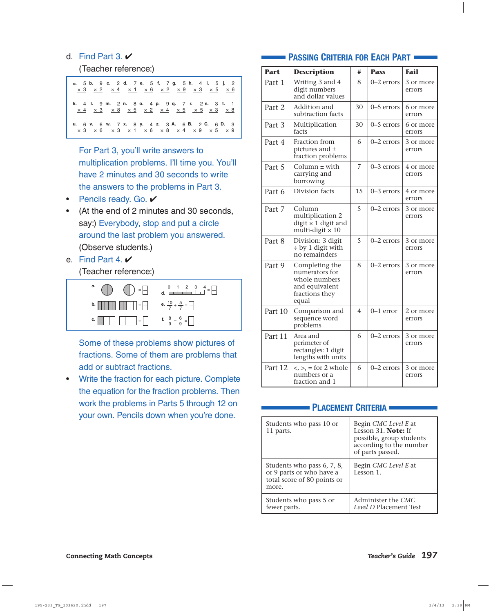#### d. Find Part 3.  $\vee$

#### (Teacher reference:)

| a. 5 b. 9 c. 2 d. 7 e. 5 f. 7 g. 5 h. 4 i. 5 j. 2<br>$\times$ 3 $\times$ 2 $\times$ 4 $\times$ 1 $\times$ 6 $\times$ 2 $\times$ 9 $\times$ 3 $\times$ 5 $\times$ 6 |  |
|--------------------------------------------------------------------------------------------------------------------------------------------------------------------|--|
| k. 4 l. 9 m. 2 n. 8 o. 4 p. 9 q. 7 r. 2 s. 3 t. 1<br>x 4 x 3 x 8 x 5 x 2 x 4 x 5 x 5 x 3 x 8                                                                       |  |
| u. 6 v. 6 w. 7 x. 8 y. 4 z. 3 A. 6 B. 2 C. 6 D. 3                                                                                                                  |  |

For Part 3, you'll write answers to multiplication problems. I'll time you. You'll have 2 minutes and 30 seconds to write the answers to the problems in Part 3.

- Pencils ready. Go.  $\checkmark$
- (At the end of 2 minutes and 30 seconds, say:) Everybody, stop and put a circle around the last problem you answered. (Observe students.)
- e. Find Part 4.  $\vee$

(Teacher reference:)



Some of these problems show pictures of fractions. Some of them are problems that add or subtract fractions.

• Write the fraction for each picture. Complete the equation for the fraction problems. Then work the problems in Parts 5 through 12 on your own. Pencils down when you're done.

#### **PASSING CRITERIA FOR EACH PART**

| <b>Part</b> | <b>Description</b>                                                                             | #  | <b>Pass</b>    | <b>Fail</b>         |
|-------------|------------------------------------------------------------------------------------------------|----|----------------|---------------------|
| Part 1      | Writing 3 and 4<br>digit numbers<br>and dollar values                                          | 8  | 0-2 errors     | 3 or more<br>errors |
| Part 2      | Addition and<br>subtraction facts                                                              | 30 | 0-5 errors     | 6 or more<br>errors |
| Part 3      | Multiplication<br>facts                                                                        | 30 | 0-5 errors     | 6 or more<br>errors |
| Part 4      | Fraction from<br>pictures and ±<br>fraction problems                                           | 6  | $0 - 2$ errors | 3 or more<br>errors |
| Part 5      | Column $\pm$ with<br>carrying and<br>borrowing                                                 | 7  | 0-3 errors     | 4 or more<br>errors |
| Part 6      | Division facts                                                                                 | 15 | $0-3$ errors   | 4 or more<br>errors |
| Part 7      | Column<br>multiplication 2<br>digit × 1 digit and<br>multi-digit $\times$ 10                   | 5  | 0-2 errors     | 3 or more<br>errors |
| Part 8      | Division: 3 digit<br>$\div$ by 1 digit with<br>no remainders                                   | 5  | 0-2 errors     | 3 or more<br>errors |
| Part 9      | Completing the<br>numerators for<br>whole numbers<br>and equivalent<br>fractions they<br>equal | 8  | 0-2 errors     | 3 or more<br>errors |
| Part 10     | Comparison and<br>sequence word<br>problems                                                    | 4  | $0-1$ error    | 2 or more<br>errors |
| Part 11     | Area and<br>perimeter of<br>rectangles: 1 digit<br>lengths with units                          | 6  | 0-2 errors     | 3 or more<br>errors |
| Part 12     | $\langle \rangle$ , = for 2 whole<br>numbers or a<br>fraction and 1                            | 6  | $0-2$ errors   | 3 or more<br>errors |

#### **PLACEMENT CRITERIA**

| Students who pass 10 or<br>11 parts.                                                           | Begin CMC Level E at<br>Lesson 31. Note: If<br>possible, group students<br>according to the number<br>of parts passed. |  |
|------------------------------------------------------------------------------------------------|------------------------------------------------------------------------------------------------------------------------|--|
| Students who pass 6, 7, 8,<br>or 9 parts or who have a<br>total score of 80 points or<br>more. | Begin CMC Level E at<br>Lesson 1.                                                                                      |  |
| Students who pass 5 or<br>fewer parts.                                                         | Administer the CMC<br>Level D Placement Test                                                                           |  |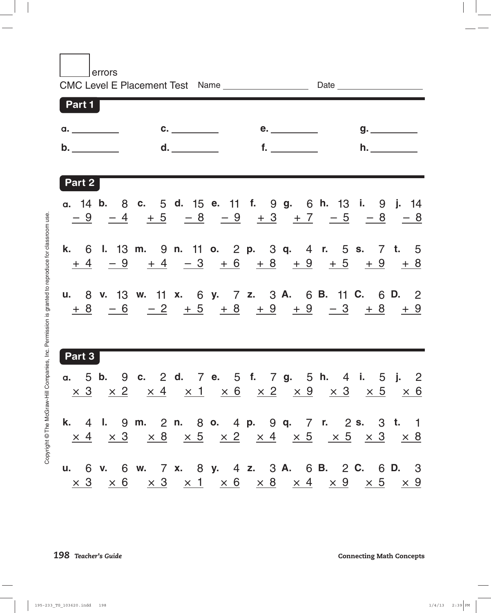errors

| Part 1        |                                 |                                                                         |                                                                                                                                                                                                                                         |
|---------------|---------------------------------|-------------------------------------------------------------------------|-----------------------------------------------------------------------------------------------------------------------------------------------------------------------------------------------------------------------------------------|
| a. __________ |                                 |                                                                         |                                                                                                                                                                                                                                         |
|               | b. ___________    d. __________ | $\mathbf{f}_1$ and $\mathbf{f}_2$ and $\mathbf{f}_3$ and $\mathbf{f}_4$ | h.                                                                                                                                                                                                                                      |
| Part 2        |                                 |                                                                         |                                                                                                                                                                                                                                         |
|               |                                 |                                                                         | a. 14 b. 8 c. 5 d. 15 e. 11 f. 9 g. 6 h. 13 i. 9 j. 14<br>$\frac{-9}{-9}$ $\frac{-4}{+5}$ $\frac{+5}{-8}$ $\frac{-9}{-9}$ $\frac{+3}{-3}$ $\frac{+7}{-5}$ $\frac{-5}{-8}$ $\frac{-8}{-8}$                                               |
|               |                                 |                                                                         | k. 6 l. 13 m. 9 n. 11 o. 2 p. 3 q. 4 r. 5 s. 7 t. 5<br>$\frac{+4}{+4}$ $\frac{-9}{-9}$ $\frac{+4}{-3}$ $\frac{-3}{+6}$ $\frac{+8}{+8}$ $\frac{+9}{+9}$ $\frac{+5}{-9}$ $\frac{+9}{-8}$                                                  |
|               |                                 |                                                                         | u. 8 v. 13 w. 11 x. 6 y. 7 z. 3 A. 6 B. 11 C. 6 D. 2<br>$+8$ $-6$ $-2$ $+5$ $+8$ $+9$ $+9$ $-3$ $+8$ $+9$                                                                                                                               |
| Part 3        |                                 |                                                                         |                                                                                                                                                                                                                                         |
|               |                                 |                                                                         | a. 5 b. 9 c. 2 d. 7 e. 5 f. 7 g. 5 h. 4 i. 5 j. 2<br>$\times$ 3 $\times$ 2 $\times$ 4 $\times$ 1 $\times$ 6 $\times$ 2 $\times$ 9 $\times$ 3 $\times$ 5 $\times$ 6                                                                      |
|               |                                 |                                                                         | k. 4 l. 9 m. 2 n. 8 o. 4 p. 9 q. 7 r. 2 s. 3 t. 1<br>$\begin{array}{ccccccccccccccccccccc} \times & 4 & \times & 3 & \times & 8 & \times & 5 & \times & 2 & \times & 4 & \times & 5 & \times & 5 & \times & 3 & \times & 8 \end{array}$ |
|               |                                 |                                                                         | u. 6 v. 6 w. 7 x. 8 y. 4 z. 3 A. 6 B. 2 C. 6 D. 3<br><u> x 3 x 6 x 3 x 1 x 6 x 8 x 4 x 9 x 5 x 9</u>                                                                                                                                    |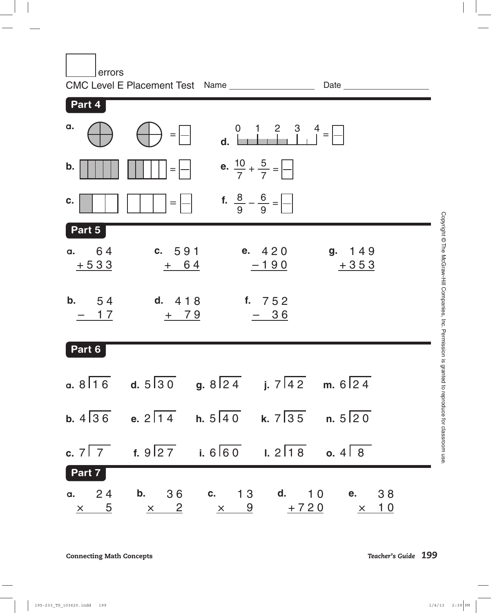| errors                         | CMC Level E Placement Test Name __________________                                                       |                                         | Date and the state of the state of the state of the state of the state of the state of the state of the state o            |  |
|--------------------------------|----------------------------------------------------------------------------------------------------------|-----------------------------------------|----------------------------------------------------------------------------------------------------------------------------|--|
| Part 4                         |                                                                                                          |                                         |                                                                                                                            |  |
| a.                             | $=$ $\left  - \right $                                                                                   | 0 1 2 3 4 =                             |                                                                                                                            |  |
| b.                             |                                                                                                          | e. $\frac{10}{7} + \frac{5}{7} =$       |                                                                                                                            |  |
| C.                             |                                                                                                          | <b>f.</b> $\frac{8}{9} - \frac{6}{9} =$ |                                                                                                                            |  |
| Part 5                         |                                                                                                          |                                         |                                                                                                                            |  |
| 64<br>$\mathbf{a}$ .<br>$+533$ | c. 591<br>$+ 64$                                                                                         | e. 420<br>$-190$                        | g. 149<br>$+353$                                                                                                           |  |
| <b>b.</b> $54$<br>- 17         | d. $418$<br>$+ 79$                                                                                       | f. 752<br><u>– 36</u>                   |                                                                                                                            |  |
| Part 6                         |                                                                                                          |                                         |                                                                                                                            |  |
|                                | a. $8\overline{16}$ d. $5\overline{30}$ g. $8\overline{24}$ j. $7\overline{42}$ m. $6\overline{24}$      |                                         |                                                                                                                            |  |
|                                | b. $4\overline{)36}$ e. $2\overline{)14}$ h. $5\overline{)40}$ k. $7\overline{)35}$ n. $5\overline{)20}$ |                                         |                                                                                                                            |  |
|                                | c. $7\overline{7}$ f. $9\overline{27}$ i. $6\overline{60}$ l. $2\overline{18}$ o. $4\overline{8}$        |                                         |                                                                                                                            |  |
| Part 7                         |                                                                                                          |                                         |                                                                                                                            |  |
|                                |                                                                                                          |                                         | a. 24 b. 36 c. 13 d. 10 e. 38<br>$\frac{x}{5}$ $\frac{x}{2}$ $\frac{x}{5}$ $\frac{9}{10}$ $\frac{+720}{10}$ $\frac{x}{10}$ |  |

 $\overline{\phantom{a}}$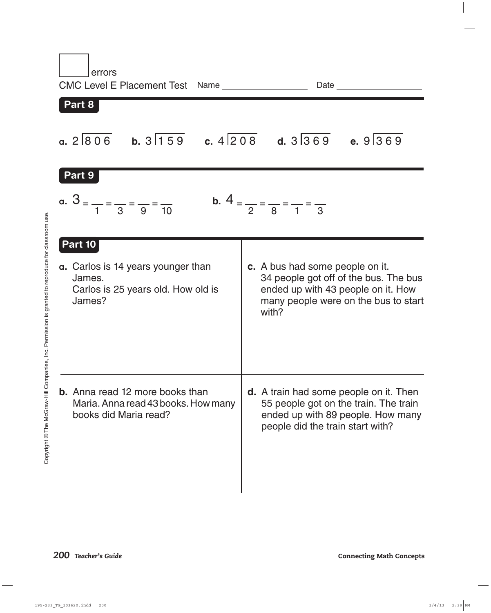| errors<br>CMC Level E Placement Test Name _________________<br>Part 8                                    |                                                                                                                                                                 |
|----------------------------------------------------------------------------------------------------------|-----------------------------------------------------------------------------------------------------------------------------------------------------------------|
| a. $2\overline{806}$ b. $3\overline{159}$ c. $4\overline{208}$ d. $3\overline{369}$ e. $9\overline{369}$ |                                                                                                                                                                 |
| Part 9<br>a. $3 = \frac{1}{1} = \frac{1}{3} = \frac{1}{9} = \frac{1}{10}$                                | <b>b.</b> $4 = \frac{1}{2} = \frac{1}{8} = \frac{1}{1} = \frac{1}{3}$                                                                                           |
| Part 10<br>a. Carlos is 14 years younger than<br>James.<br>Carlos is 25 years old. How old is<br>James?  | c. A bus had some people on it.<br>34 people got off of the bus. The bus<br>ended up with 43 people on it. How<br>many people were on the bus to start<br>with? |
| <b>b.</b> Anna read 12 more books than<br>Maria. Anna read 43 books. How many<br>books did Maria read?   | <b>d.</b> A train had some people on it. Then<br>55 people got on the train. The train<br>ended up with 89 people. How many<br>people did the train start with? |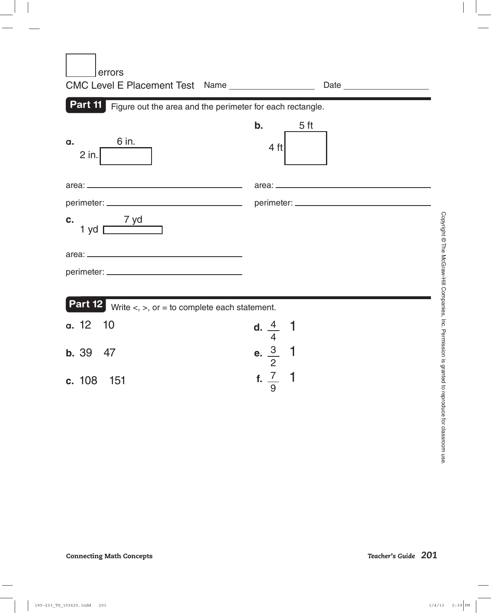| errors<br>CMC Level E Placement Test Name _________________           |                                                                |
|-----------------------------------------------------------------------|----------------------------------------------------------------|
| Part 11 Figure out the area and the perimeter for each rectangle.     |                                                                |
| 6 in.<br>α.<br>$2$ in.                                                | b.<br>5 <sub>ft</sub><br>$4$ ft                                |
|                                                                       |                                                                |
|                                                                       |                                                                |
| $1 yd \overline{1}$<br>C.                                             |                                                                |
|                                                                       |                                                                |
|                                                                       |                                                                |
| <b>Part 12</b> Write $\lt$ , $\gt$ , or = to complete each statement. |                                                                |
| a. 12<br>10                                                           |                                                                |
| <b>b.</b> 39<br>47                                                    | d. $\frac{4}{4}$ 1<br>e. $\frac{3}{2}$ 1<br>f. $\frac{7}{9}$ 1 |
| c. 108 151                                                            |                                                                |

 $\sim$